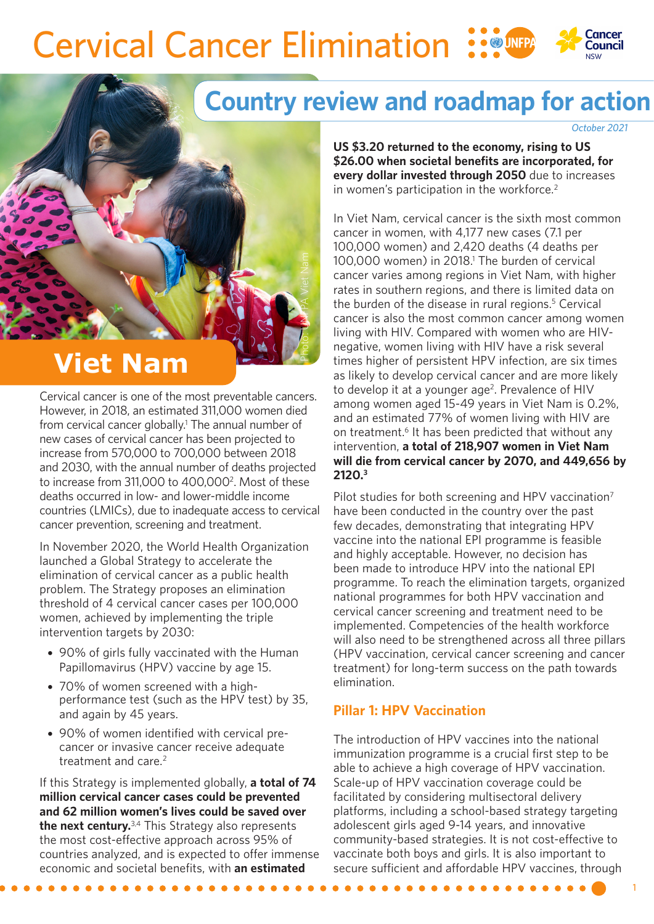## **Cervical Cancer Elimination** Council

# **Country review and roadmap for action**

*October 2021*

Photo: UNFPA Viet Nam

# **Viet Nam**

Cervical cancer is one of the most preventable cancers. However, in 2018, an estimated 311,000 women died from cervical cancer globally.<sup>1</sup> The annual number of new cases of cervical cancer has been projected to increase from 570,000 to 700,000 between 2018 and 2030, with the annual number of deaths projected to increase from 311,000 to 400,0002. Most of these deaths occurred in low- and lower-middle income countries (LMICs), due to inadequate access to cervical cancer prevention, screening and treatment.

In November 2020, the World Health Organization launched a Global Strategy to accelerate the elimination of cervical cancer as a public health problem. The Strategy proposes an elimination threshold of 4 cervical cancer cases per 100,000 women, achieved by implementing the triple intervention targets by 2030:

- 90% of girls fully vaccinated with the Human Papillomavirus (HPV) vaccine by age 15.
- 70% of women screened with a highperformance test (such as the HPV test) by 35, and again by 45 years.
- 90% of women identified with cervical precancer or invasive cancer receive adequate treatment and care.2

If this Strategy is implemented globally, **a total of 74 million cervical cancer cases could be prevented and 62 million women's lives could be saved over the next century.**3,4 This Strategy also represents the most cost-effective approach across 95% of countries analyzed, and is expected to offer immense economic and societal benefits, with **an estimated**

**US \$3.20 returned to the economy, rising to US \$26.00 when societal benefits are incorporated, for every dollar invested through 2050** due to increases in women's participation in the workforce.<sup>2</sup>

In Viet Nam, cervical cancer is the sixth most common cancer in women, with 4,177 new cases (7.1 per 100,000 women) and 2,420 deaths (4 deaths per 100,000 women) in 2018.<sup>1</sup> The burden of cervical cancer varies among regions in Viet Nam, with higher rates in southern regions, and there is limited data on the burden of the disease in rural regions.<sup>5</sup> Cervical cancer is also the most common cancer among women living with HIV. Compared with women who are HIVnegative, women living with HIV have a risk several times higher of persistent HPV infection, are six times as likely to develop cervical cancer and are more likely to develop it at a younger age<sup>2</sup>. Prevalence of HIV among women aged 15-49 years in Viet Nam is 0.2%, and an estimated 77% of women living with HIV are on treatment.6 It has been predicted that without any intervention, **a total of 218,907 women in Viet Nam will die from cervical cancer by 2070, and 449,656 by 2120.3**

Pilot studies for both screening and HPV vaccination<sup>7</sup> have been conducted in the country over the past few decades, demonstrating that integrating HPV vaccine into the national EPI programme is feasible and highly acceptable. However, no decision has been made to introduce HPV into the national EPI programme. To reach the elimination targets, organized national programmes for both HPV vaccination and cervical cancer screening and treatment need to be implemented. Competencies of the health workforce will also need to be strengthened across all three pillars (HPV vaccination, cervical cancer screening and cancer treatment) for long-term success on the path towards elimination.

### **Pillar 1: HPV Vaccination**

The introduction of HPV vaccines into the national immunization programme is a crucial first step to be able to achieve a high coverage of HPV vaccination. Scale-up of HPV vaccination coverage could be facilitated by considering multisectoral delivery platforms, including a school-based strategy targeting adolescent girls aged 9-14 years, and innovative community-based strategies. It is not cost-effective to vaccinate both boys and girls. It is also important to secure sufficient and affordable HPV vaccines, through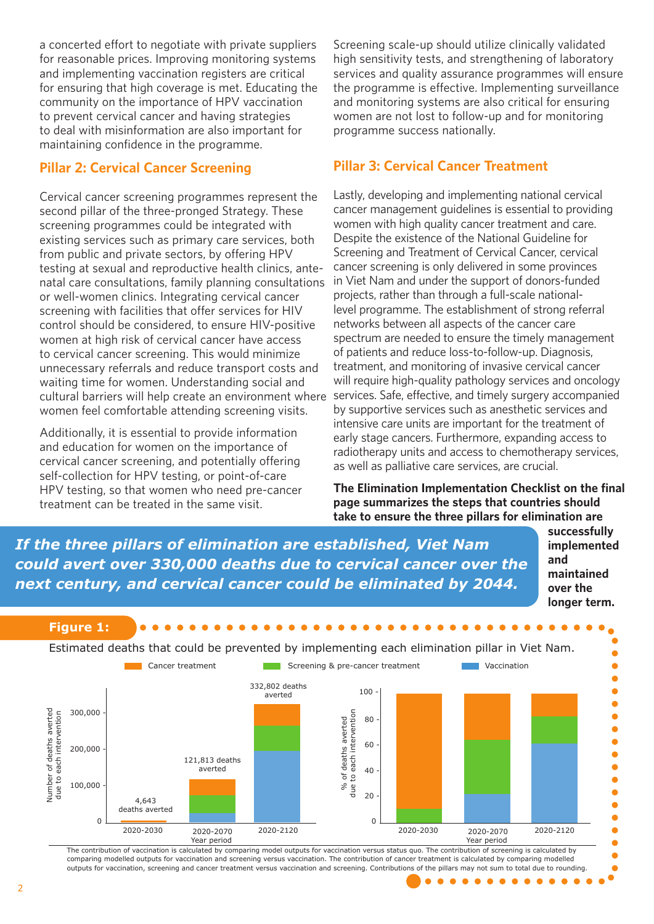a concerted effort to negotiate with private suppliers for reasonable prices. Improving monitoring systems and implementing vaccination registers are critical for ensuring that high coverage is met. Educating the community on the importance of HPV vaccination to prevent cervical cancer and having strategies to deal with misinformation are also important for maintaining confidence in the programme.

### **Pillar 2: Cervical Cancer Screening**

Cervical cancer screening programmes represent the second pillar of the three-pronged Strategy. These screening programmes could be integrated with existing services such as primary care services, both from public and private sectors, by offering HPV testing at sexual and reproductive health clinics, antenatal care consultations, family planning consultations or well-women clinics. Integrating cervical cancer screening with facilities that offer services for HIV control should be considered, to ensure HIV-positive women at high risk of cervical cancer have access to cervical cancer screening. This would minimize unnecessary referrals and reduce transport costs and waiting time for women. Understanding social and cultural barriers will help create an environment where women feel comfortable attending screening visits.

Additionally, it is essential to provide information and education for women on the importance of cervical cancer screening, and potentially offering self-collection for HPV testing, or point-of-care HPV testing, so that women who need pre-cancer treatment can be treated in the same visit.

Screening scale-up should utilize clinically validated high sensitivity tests, and strengthening of laboratory services and quality assurance programmes will ensure the programme is effective. Implementing surveillance and monitoring systems are also critical for ensuring women are not lost to follow-up and for monitoring programme success nationally.

#### **Pillar 3: Cervical Cancer Treatment**

Lastly, developing and implementing national cervical cancer management guidelines is essential to providing women with high quality cancer treatment and care. Despite the existence of the National Guideline for Screening and Treatment of Cervical Cancer, cervical cancer screening is only delivered in some provinces in Viet Nam and under the support of donors-funded projects, rather than through a full-scale nationallevel programme. The establishment of strong referral networks between all aspects of the cancer care spectrum are needed to ensure the timely management of patients and reduce loss-to-follow-up. Diagnosis, treatment, and monitoring of invasive cervical cancer will require high-quality pathology services and oncology services. Safe, effective, and timely surgery accompanied by supportive services such as anesthetic services and intensive care units are important for the treatment of early stage cancers. Furthermore, expanding access to radiotherapy units and access to chemotherapy services, as well as palliative care services, are crucial.

**The Elimination Implementation Checklist on the final page summarizes the steps that countries should take to ensure the three pillars for elimination are** 

*If the three pillars of elimination are established, Viet Nam could avert over 330,000 deaths due to cervical cancer over the next century, and cervical cancer could be eliminated by 2044.*

**successfully implemented and maintained over the longer term.**

é

```
Figure 1:
```
Estimated deaths that could be prevented by implementing each elimination pillar in Viet Nam.



comparing modelled outputs for vaccination and screening versus vaccination. The contribution of cancer treatment is calculated by comparing modelled outputs for vaccination, screening and cancer treatment versus vaccination and screening. Contributions of the pillars may not sum to total due to rounding.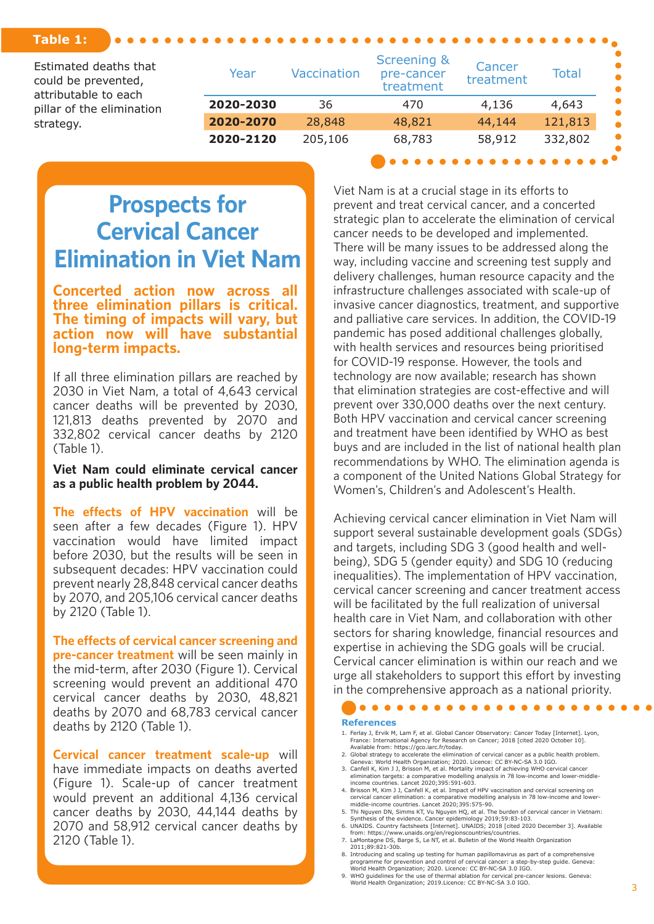#### **Table 1:**

| Estimated deaths that<br>could be prevented,<br>attributable to each<br>pillar of the elimination<br>strategy. | Year      | <b>Vaccination</b> | Screening &<br>pre-cancer<br>treatment | Cancer<br>treatment | <b>Total</b> |
|----------------------------------------------------------------------------------------------------------------|-----------|--------------------|----------------------------------------|---------------------|--------------|
|                                                                                                                | 2020-2030 | 36                 | 470                                    | 4,136               | 4,643        |
|                                                                                                                | 2020-2070 | 28,848             | 48,821                                 | 44,144              | 121,813      |
|                                                                                                                | 2020-2120 | 205,106            | 68,783                                 | 58,912              | 332,802      |

## **Prospects for Cervical Cancer Elimination in Viet Nam**

**Concerted action now across all three elimination pillars is critical. The timing of impacts will vary, but action now will have substantial long-term impacts.**

If all three elimination pillars are reached by 2030 in Viet Nam, a total of 4,643 cervical cancer deaths will be prevented by 2030, 121,813 deaths prevented by 2070 and 332,802 cervical cancer deaths by 2120 (Table 1).

**Viet Nam could eliminate cervical cancer as a public health problem by 2044.**

**The effects of HPV vaccination** will be seen after a few decades (Figure 1). HPV vaccination would have limited impact before 2030, but the results will be seen in subsequent decades: HPV vaccination could prevent nearly 28,848 cervical cancer deaths by 2070, and 205,106 cervical cancer deaths by 2120 (Table 1).

**The effects of cervical cancer screening and pre-cancer treatment** will be seen mainly in the mid-term, after 2030 (Figure 1). Cervical screening would prevent an additional 470 cervical cancer deaths by 2030, 48,821 deaths by 2070 and 68,783 cervical cancer deaths by 2120 (Table 1).

**Cervical cancer treatment scale-up** will have immediate impacts on deaths averted (Figure 1). Scale-up of cancer treatment would prevent an additional 4,136 cervical cancer deaths by 2030, 44,144 deaths by 2070 and 58,912 cervical cancer deaths by 2120 (Table 1).

Viet Nam is at a crucial stage in its efforts to prevent and treat cervical cancer, and a concerted strategic plan to accelerate the elimination of cervical cancer needs to be developed and implemented. There will be many issues to be addressed along the way, including vaccine and screening test supply and delivery challenges, human resource capacity and the infrastructure challenges associated with scale-up of invasive cancer diagnostics, treatment, and supportive and palliative care services. In addition, the COVID-19 pandemic has posed additional challenges globally, with health services and resources being prioritised for COVID-19 response. However, the tools and technology are now available; research has shown that elimination strategies are cost-effective and will prevent over 330,000 deaths over the next century. Both HPV vaccination and cervical cancer screening and treatment have been identified by WHO as best buys and are included in the list of national health plan recommendations by WHO. The elimination agenda is a component of the United Nations Global Strategy for Women's, Children's and Adolescent's Health.

Achieving cervical cancer elimination in Viet Nam will support several sustainable development goals (SDGs) and targets, including SDG 3 (good health and wellbeing), SDG 5 (gender equity) and SDG 10 (reducing inequalities). The implementation of HPV vaccination, cervical cancer screening and cancer treatment access will be facilitated by the full realization of universal health care in Viet Nam, and collaboration with other sectors for sharing knowledge, financial resources and expertise in achieving the SDG goals will be crucial. Cervical cancer elimination is within our reach and we urge all stakeholders to support this effort by investing in the comprehensive approach as a national priority.

#### **References** 1. Ferlay J, Ervik M, Lam F, et al. Global Cancer Observatory: Cancer Today [Internet]. Lyon, France: International Agency for Research on Cancer; 2018 [cited 2020 October 10].

. . . . .

- 
- Available from: https://gco.iarc.fr/today. 2. Global strategy to accelerate the elimination of cervical cancer as a public health problem. Geneva: World Health Organization; 2020. Licence: CC BY-NC-SA 3.0 IGO.
- 3. Canfell K, Kim J J, Brisson M, et al. Mortality impact of achieving WHO cervical cancer elimination targets: a comparative modelling analysis in 78 low-income and lower-middle-income countries. Lancet 2020;395:591-603.
- 4. Brisson M, Kim J J, Canfell K, et al. Impact of HPV vaccination and cervical screening on<br>cervical cancer elimination: a comparative modelling analysis in 78 low-income and lower-<br>middle-income countries. Lancet 2020;39
- 5. Thi Nguyen DN, Simms KT, Vu Nguyen HQ, et al. The burden of cervical cancer in Vietnam:<br>Synthesis of the evidence. Cancer epidemiology 2019;59:83-103.<br>6. UNAIDS. Country factsheets [Internet]. UNAIDS; 2018 [cited 2020 D
- from: https://www.unaids.org/en/regionscountries/countries.
- 7. LaMontagne DS, Barge S, Le NT, et al. Bulletin of the World Health Organization 2011;89:821-30b.
- 8. Introducing and scaling up testing for human papillomavirus as part of a comprehensive programme for prevention and control of cervical cancer: a step-by-step guide. Geneva: World Health Organization; 2020. Licence: CC BY-NC-SA 3.0 IGO.
- 9. WHO guidelines for the use of thermal ablation for cervical pre-cancer lesions. Geneva: World Health Organization; 2019.Licence: CC BY-NC-SA 3.0 IGO.